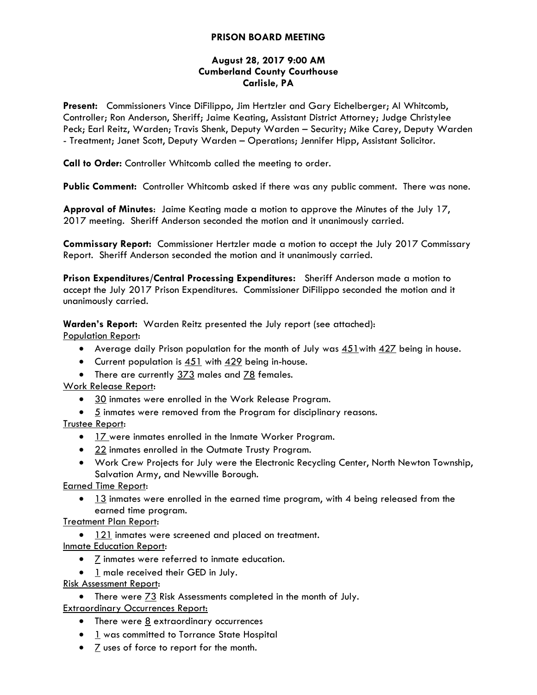# **PRISON BOARD MEETING**

### **August 28, 2017 9:00 AM Cumberland County Courthouse Carlisle, PA**

**Present:** Commissioners Vince DiFilippo, Jim Hertzler and Gary Eichelberger; Al Whitcomb, Controller; Ron Anderson, Sheriff; Jaime Keating, Assistant District Attorney; Judge Christylee Peck; Earl Reitz, Warden; Travis Shenk, Deputy Warden – Security; Mike Carey, Deputy Warden - Treatment; Janet Scott, Deputy Warden – Operations; Jennifer Hipp, Assistant Solicitor.

**Call to Order:** Controller Whitcomb called the meeting to order.

**Public Comment:** Controller Whitcomb asked if there was any public comment. There was none.

**Approval of Minutes**: Jaime Keating made a motion to approve the Minutes of the July 17, 2017 meeting. Sheriff Anderson seconded the motion and it unanimously carried.

**Commissary Report:** Commissioner Hertzler made a motion to accept the July 2017 Commissary Report. Sheriff Anderson seconded the motion and it unanimously carried.

**Prison Expenditures/Central Processing Expenditures:** Sheriff Anderson made a motion to accept the July 2017 Prison Expenditures. Commissioner DiFilippo seconded the motion and it unanimously carried.

**Warden's Report:** Warden Reitz presented the July report (see attached):

Population Report:

- Average daily Prison population for the month of July was 451with 427 being in house.
- $\bullet$  Current population is  $451$  with  $429$  being in-house.
- There are currently 373 males and 78 females.

Work Release Report:

- 30 inmates were enrolled in the Work Release Program.
- 5 inmates were removed from the Program for disciplinary reasons.

Trustee Report:

- 17 were inmates enrolled in the Inmate Worker Program.
- 22 inmates enrolled in the Outmate Trusty Program.
- Work Crew Projects for July were the Electronic Recycling Center, North Newton Township, Salvation Army, and Newville Borough.

Earned Time Report:

 13 inmates were enrolled in the earned time program, with 4 being released from the earned time program.

Treatment Plan Report:

• 121 inmates were screened and placed on treatment.

Inmate Education Report:

- $\overline{Z}$  inmates were referred to inmate education.
- 1 male received their GED in July.

Risk Assessment Report:

There were 73 Risk Assessments completed in the month of July.

Extraordinary Occurrences Report:

- $\bullet$  There were  $\underline{8}$  extraordinary occurrences
- 1 was committed to Torrance State Hospital
- $\bullet$   $\leq$  uses of force to report for the month.